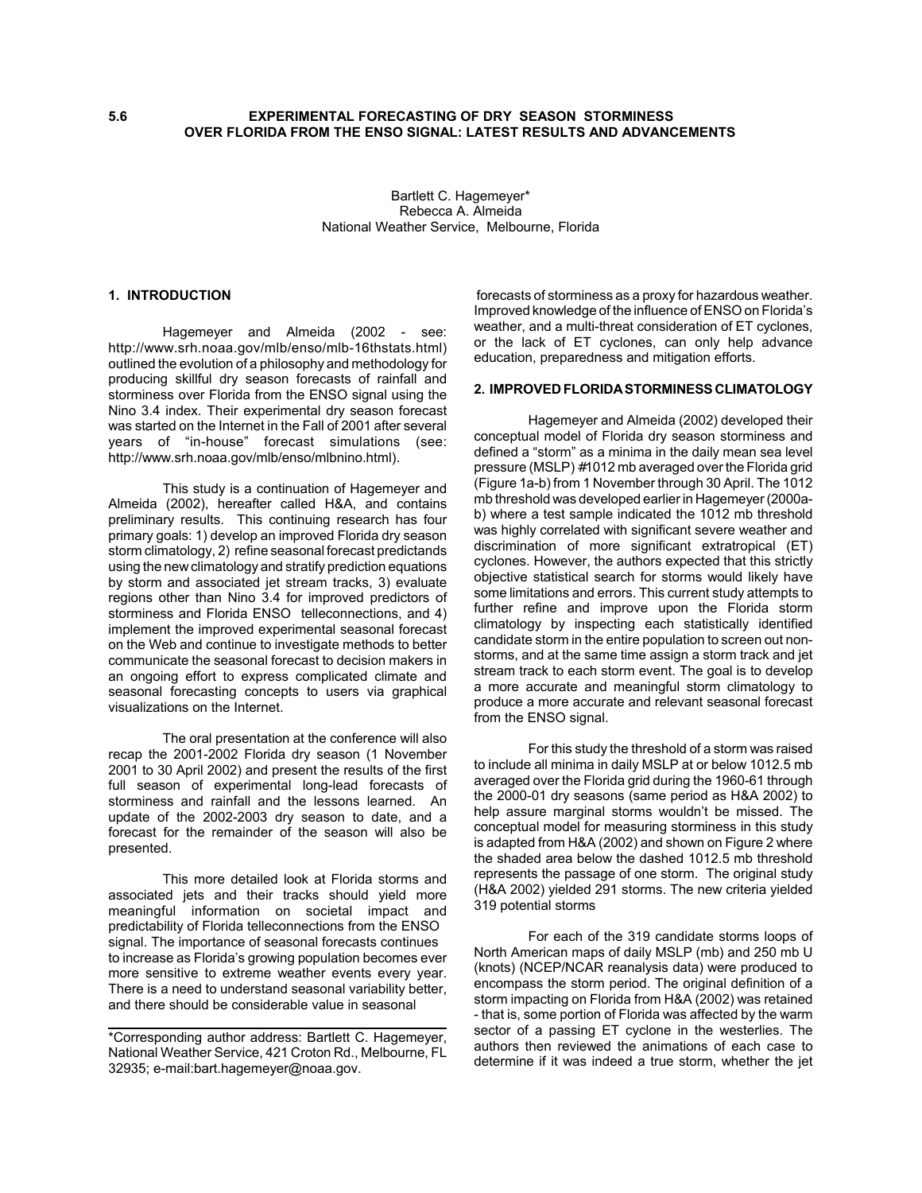Bartlett C. Hagemeyer\* Rebecca A. Almeida National Weather Service, Melbourne, Florida

#### **1. INTRODUCTION**

Hagemeyer and Almeida (2002 - see: http://www.srh.noaa.gov/mlb/enso/mlb-16thstats.html) outlined the evolution of a philosophy and methodology for producing skillful dry season forecasts of rainfall and storminess over Florida from the ENSO signal using the Nino 3.4 index. Their experimental dry season forecast was started on the Internet in the Fall of 2001 after several years of "in-house" forecast simulations (see: http://www.srh.noaa.gov/mlb/enso/mlbnino.html).

This study is a continuation of Hagemeyer and Almeida (2002), hereafter called H&A, and contains preliminary results. This continuing research has four primary goals: 1) develop an improved Florida dry season storm climatology, 2) refine seasonal forecast predictands using the new climatology and stratify prediction equations by storm and associated jet stream tracks, 3) evaluate regions other than Nino 3.4 for improved predictors of storminess and Florida ENSO telleconnections, and 4) implement the improved experimental seasonal forecast on the Web and continue to investigate methods to better communicate the seasonal forecast to decision makers in an ongoing effort to express complicated climate and seasonal forecasting concepts to users via graphical visualizations on the Internet.

The oral presentation at the conference will also recap the 2001-2002 Florida dry season (1 November 2001 to 30 April 2002) and present the results of the first full season of experimental long-lead forecasts of storminess and rainfall and the lessons learned. An update of the 2002-2003 dry season to date, and a forecast for the remainder of the season will also be presented.

This more detailed look at Florida storms and associated jets and their tracks should yield more meaningful information on societal impact and predictability of Florida telleconnections from the ENSO signal. The importance of seasonal forecasts continues to increase as Florida's growing population becomes ever more sensitive to extreme weather events every year. There is a need to understand seasonal variability better, and there should be considerable value in seasonal

 forecasts of storminess as a proxy for hazardous weather. Improved knowledge of the influence of ENSO on Florida's weather, and a multi-threat consideration of ET cyclones, or the lack of ET cyclones, can only help advance education, preparedness and mitigation efforts.

### **2. IMPROVED FLORIDA STORMINESS CLIMATOLOGY**

Hagemeyer and Almeida (2002) developed their conceptual model of Florida dry season storminess and defined a "storm" as a minima in the daily mean sea level pressure (MSLP) #1012 mb averaged over the Florida grid (Figure 1a-b) from 1 November through 30 April. The 1012 mb threshold was developed earlier in Hagemeyer (2000ab) where a test sample indicated the 1012 mb threshold was highly correlated with significant severe weather and discrimination of more significant extratropical (ET) cyclones. However, the authors expected that this strictly objective statistical search for storms would likely have some limitations and errors. This current study attempts to further refine and improve upon the Florida storm climatology by inspecting each statistically identified candidate storm in the entire population to screen out nonstorms, and at the same time assign a storm track and jet stream track to each storm event. The goal is to develop a more accurate and meaningful storm climatology to produce a more accurate and relevant seasonal forecast from the ENSO signal.

For this study the threshold of a storm was raised to include all minima in daily MSLP at or below 1012.5 mb averaged over the Florida grid during the 1960-61 through the 2000-01 dry seasons (same period as H&A 2002) to help assure marginal storms wouldn't be missed. The conceptual model for measuring storminess in this study is adapted from H&A (2002) and shown on Figure 2 where the shaded area below the dashed 1012.5 mb threshold represents the passage of one storm. The original study (H&A 2002) yielded 291 storms. The new criteria yielded 319 potential storms

For each of the 319 candidate storms loops of North American maps of daily MSLP (mb) and 250 mb U (knots) (NCEP/NCAR reanalysis data) were produced to encompass the storm period. The original definition of a storm impacting on Florida from H&A (2002) was retained - that is, some portion of Florida was affected by the warm sector of a passing ET cyclone in the westerlies. The authors then reviewed the animations of each case to determine if it was indeed a true storm, whether the jet

<sup>\*</sup>Corresponding author address: Bartlett C. Hagemeyer, National Weather Service, 421 Croton Rd., Melbourne, FL 32935; e-mail:bart.hagemeyer@noaa.gov.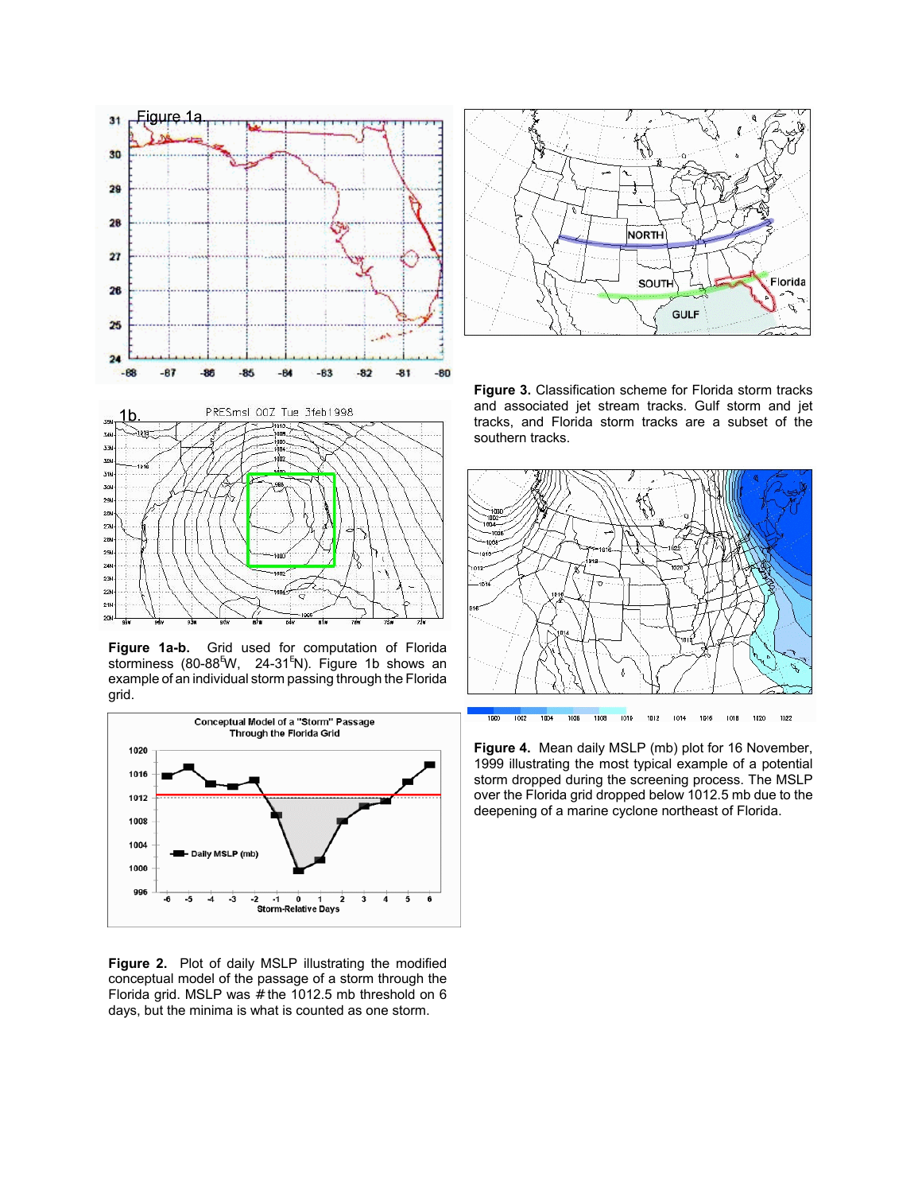

**Figure 1a-b.** Grid used for computation of Florida storminess (80-88<sup>E</sup>W, 24-31<sup>E</sup>N). Figure 1b shows an example of an individual storm passing through the Florida grid.

20



**Figure 2.** Plot of daily MSLP illustrating the modified conceptual model of the passage of a storm through the Florida grid. MSLP was  $#$  the 1012.5 mb threshold on 6 days, but the minima is what is counted as one storm.



**Figure 3.** Classification scheme for Florida storm tracks and associated jet stream tracks. Gulf storm and jet tracks, and Florida storm tracks are a subset of the southern tracks.



**Figure 4.** Mean daily MSLP (mb) plot for 16 November, 1999 illustrating the most typical example of a potential storm dropped during the screening process. The MSLP over the Florida grid dropped below 1012.5 mb due to the deepening of a marine cyclone northeast of Florida.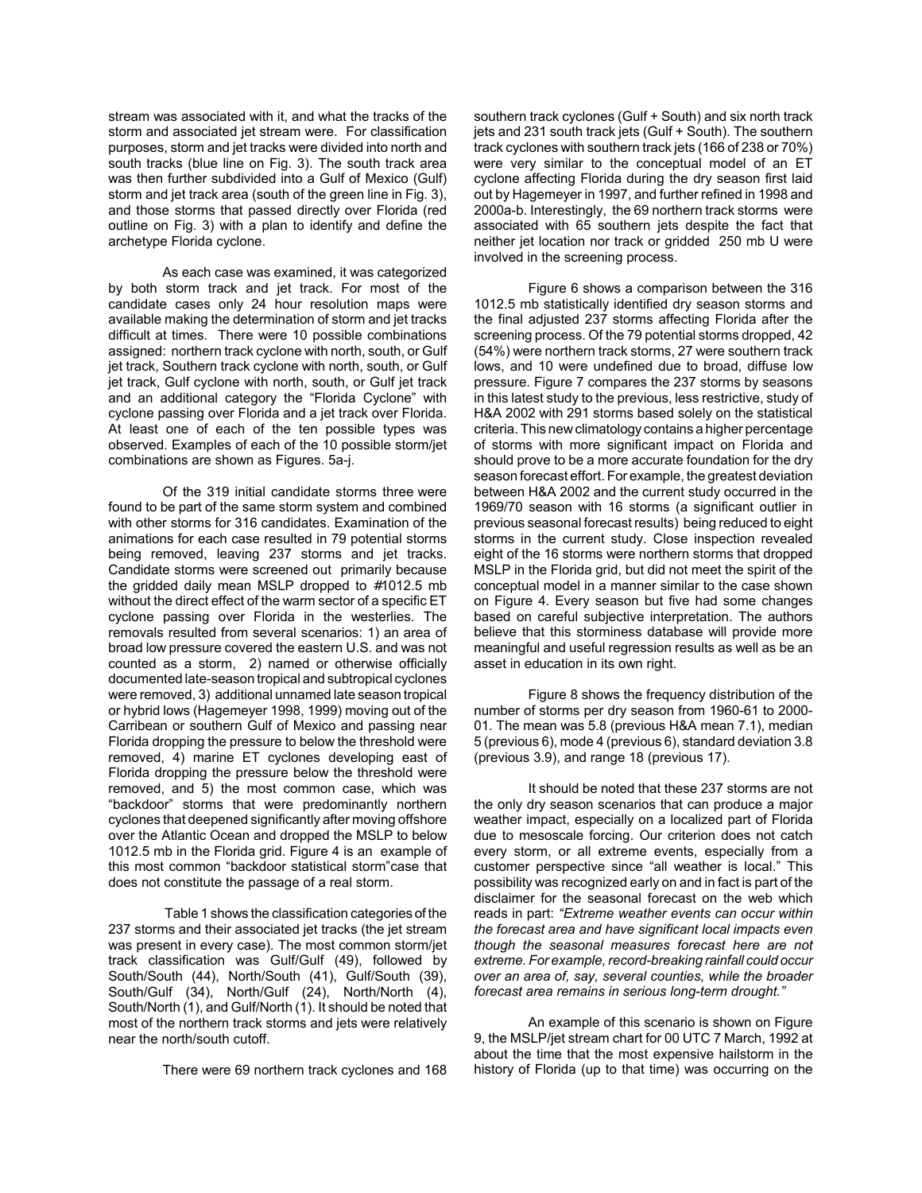stream was associated with it, and what the tracks of the storm and associated jet stream were. For classification purposes, storm and jet tracks were divided into north and south tracks (blue line on Fig. 3). The south track area was then further subdivided into a Gulf of Mexico (Gulf) storm and jet track area (south of the green line in Fig. 3), and those storms that passed directly over Florida (red outline on Fig. 3) with a plan to identify and define the archetype Florida cyclone.

As each case was examined, it was categorized by both storm track and jet track. For most of the candidate cases only 24 hour resolution maps were available making the determination of storm and jet tracks difficult at times. There were 10 possible combinations assigned: northern track cyclone with north, south, or Gulf jet track, Southern track cyclone with north, south, or Gulf jet track, Gulf cyclone with north, south, or Gulf jet track and an additional category the "Florida Cyclone" with cyclone passing over Florida and a jet track over Florida. At least one of each of the ten possible types was observed. Examples of each of the 10 possible storm/jet combinations are shown as Figures. 5a-j.

 Of the 319 initial candidate storms three were found to be part of the same storm system and combined with other storms for 316 candidates. Examination of the animations for each case resulted in 79 potential storms being removed, leaving 237 storms and jet tracks. Candidate storms were screened out primarily because the gridded daily mean MSLP dropped to #1012.5 mb without the direct effect of the warm sector of a specific ET cyclone passing over Florida in the westerlies. The removals resulted from several scenarios: 1) an area of broad low pressure covered the eastern U.S. and was not counted as a storm, 2) named or otherwise officially documented late-season tropical and subtropical cyclones were removed, 3) additional unnamed late season tropical or hybrid lows (Hagemeyer 1998, 1999) moving out of the Carribean or southern Gulf of Mexico and passing near Florida dropping the pressure to below the threshold were removed, 4) marine ET cyclones developing east of Florida dropping the pressure below the threshold were removed, and 5) the most common case, which was "backdoor" storms that were predominantly northern cyclones that deepened significantly after moving offshore over the Atlantic Ocean and dropped the MSLP to below 1012.5 mb in the Florida grid. Figure 4 is an example of this most common "backdoor statistical storm"case that does not constitute the passage of a real storm.

 Table 1 shows the classification categories of the 237 storms and their associated jet tracks (the jet stream was present in every case). The most common storm/jet track classification was Gulf/Gulf (49), followed by South/South (44), North/South (41), Gulf/South (39), South/Gulf (34), North/Gulf (24), North/North (4), South/North (1), and Gulf/North (1). It should be noted that most of the northern track storms and jets were relatively near the north/south cutoff.

There were 69 northern track cyclones and 168

southern track cyclones (Gulf + South) and six north track jets and 231 south track jets (Gulf + South). The southern track cyclones with southern track jets (166 of 238 or 70%) were very similar to the conceptual model of an ET cyclone affecting Florida during the dry season first laid out by Hagemeyer in 1997, and further refined in 1998 and 2000a-b. Interestingly, the 69 northern track storms were associated with 65 southern jets despite the fact that neither jet location nor track or gridded 250 mb U were involved in the screening process.

Figure 6 shows a comparison between the 316 1012.5 mb statistically identified dry season storms and the final adjusted 237 storms affecting Florida after the screening process. Of the 79 potential storms dropped, 42 (54%) were northern track storms, 27 were southern track lows, and 10 were undefined due to broad, diffuse low pressure. Figure 7 compares the 237 storms by seasons in this latest study to the previous, less restrictive, study of H&A 2002 with 291 storms based solely on the statistical criteria. This new climatology contains a higher percentage of storms with more significant impact on Florida and should prove to be a more accurate foundation for the dry season forecast effort. For example, the greatest deviation between H&A 2002 and the current study occurred in the 1969/70 season with 16 storms (a significant outlier in previous seasonal forecast results) being reduced to eight storms in the current study. Close inspection revealed eight of the 16 storms were northern storms that dropped MSLP in the Florida grid, but did not meet the spirit of the conceptual model in a manner similar to the case shown on Figure 4. Every season but five had some changes based on careful subjective interpretation. The authors believe that this storminess database will provide more meaningful and useful regression results as well as be an asset in education in its own right.

Figure 8 shows the frequency distribution of the number of storms per dry season from 1960-61 to 2000- 01. The mean was 5.8 (previous H&A mean 7.1), median 5 (previous 6), mode 4 (previous 6), standard deviation 3.8 (previous 3.9), and range 18 (previous 17).

It should be noted that these 237 storms are not the only dry season scenarios that can produce a major weather impact, especially on a localized part of Florida due to mesoscale forcing. Our criterion does not catch every storm, or all extreme events, especially from a customer perspective since "all weather is local." This possibility was recognized early on and in fact is part of the disclaimer for the seasonal forecast on the web which reads in part: *"Extreme weather events can occur within the forecast area and have significant local impacts even though the seasonal measures forecast here are not extreme. For example, record-breaking rainfall could occur over an area of, say, several counties, while the broader forecast area remains in serious long-term drought."*

An example of this scenario is shown on Figure 9, the MSLP/jet stream chart for 00 UTC 7 March, 1992 at about the time that the most expensive hailstorm in the history of Florida (up to that time) was occurring on the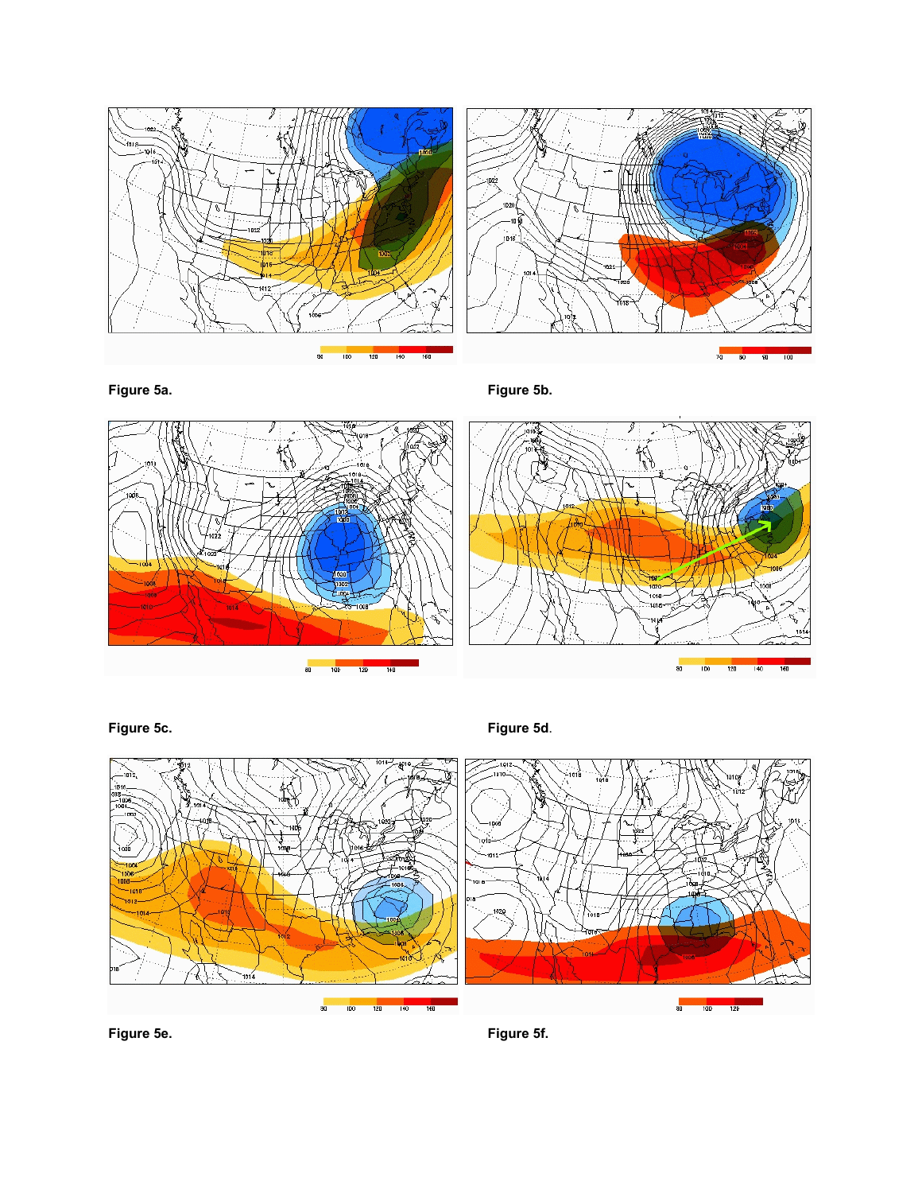

**Figure 5a. Figure 5b.**



**Figure 5c. Figure 5d**.

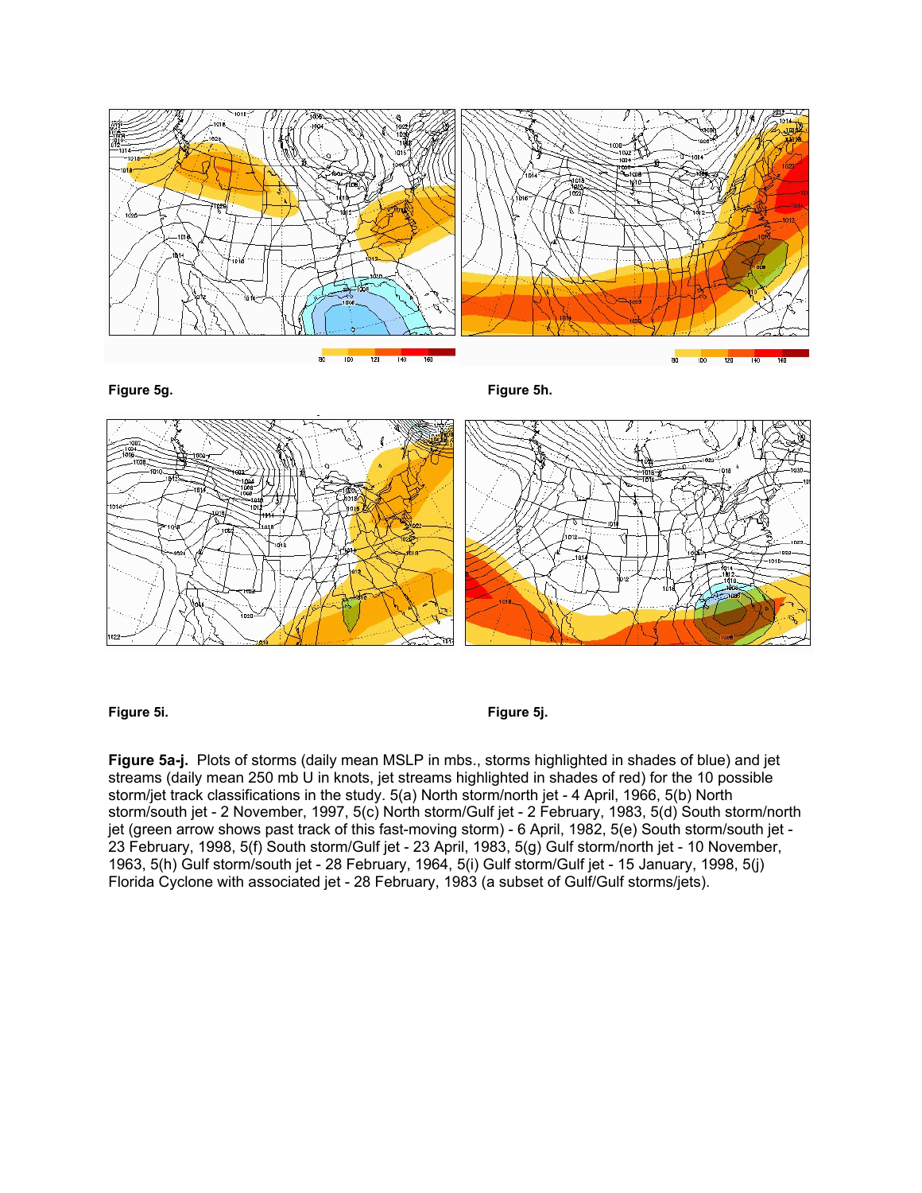

**Figure 5g. Figure 5h.**



**Figure 5i. Figure 5j.**

**Figure 5a-j.** Plots of storms (daily mean MSLP in mbs., storms highlighted in shades of blue) and jet streams (daily mean 250 mb U in knots, jet streams highlighted in shades of red) for the 10 possible storm/jet track classifications in the study. 5(a) North storm/north jet - 4 April, 1966, 5(b) North storm/south jet - 2 November, 1997, 5(c) North storm/Gulf jet - 2 February, 1983, 5(d) South storm/north jet (green arrow shows past track of this fast-moving storm) - 6 April, 1982, 5(e) South storm/south jet - 23 February, 1998, 5(f) South storm/Gulf jet - 23 April, 1983, 5(g) Gulf storm/north jet - 10 November, 1963, 5(h) Gulf storm/south jet - 28 February, 1964, 5(i) Gulf storm/Gulf jet - 15 January, 1998, 5(j) Florida Cyclone with associated jet - 28 February, 1983 (a subset of Gulf/Gulf storms/jets).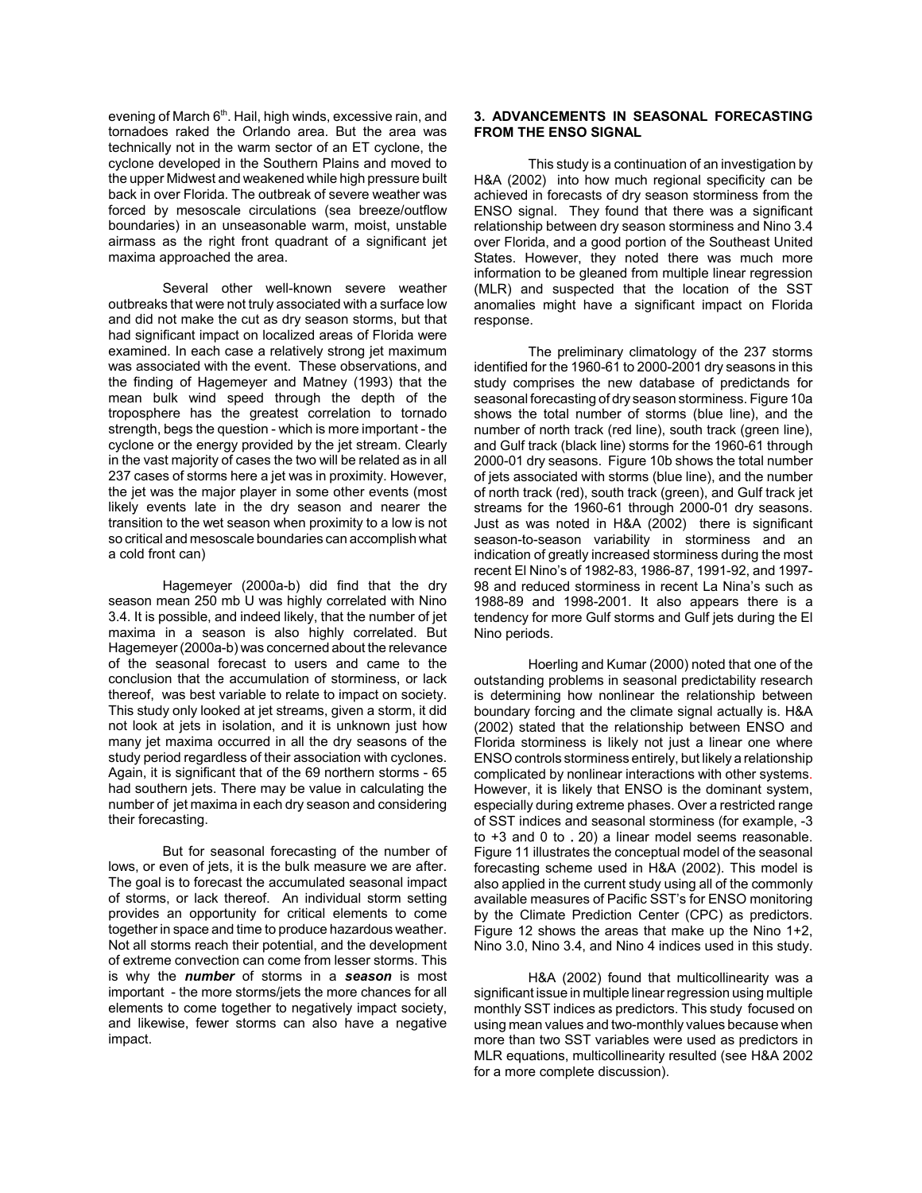evening of March 6<sup>th</sup>. Hail, high winds, excessive rain, and tornadoes raked the Orlando area. But the area was technically not in the warm sector of an ET cyclone, the cyclone developed in the Southern Plains and moved to the upper Midwest and weakened while high pressure built back in over Florida. The outbreak of severe weather was forced by mesoscale circulations (sea breeze/outflow boundaries) in an unseasonable warm, moist, unstable airmass as the right front quadrant of a significant jet maxima approached the area.

Several other well-known severe weather outbreaks that were not truly associated with a surface low and did not make the cut as dry season storms, but that had significant impact on localized areas of Florida were examined. In each case a relatively strong jet maximum was associated with the event. These observations, and the finding of Hagemeyer and Matney (1993) that the mean bulk wind speed through the depth of the troposphere has the greatest correlation to tornado strength, begs the question - which is more important - the cyclone or the energy provided by the jet stream. Clearly in the vast majority of cases the two will be related as in all 237 cases of storms here a jet was in proximity. However, the jet was the major player in some other events (most likely events late in the dry season and nearer the transition to the wet season when proximity to a low is not so critical and mesoscale boundaries can accomplish what a cold front can)

Hagemeyer (2000a-b) did find that the dry season mean 250 mb U was highly correlated with Nino 3.4. It is possible, and indeed likely, that the number of jet maxima in a season is also highly correlated. But Hagemeyer (2000a-b) was concerned about the relevance of the seasonal forecast to users and came to the conclusion that the accumulation of storminess, or lack thereof, was best variable to relate to impact on society. This study only looked at jet streams, given a storm, it did not look at jets in isolation, and it is unknown just how many jet maxima occurred in all the dry seasons of the study period regardless of their association with cyclones. Again, it is significant that of the 69 northern storms - 65 had southern jets. There may be value in calculating the number of jet maxima in each dry season and considering their forecasting.

But for seasonal forecasting of the number of lows, or even of jets, it is the bulk measure we are after. The goal is to forecast the accumulated seasonal impact of storms, or lack thereof. An individual storm setting provides an opportunity for critical elements to come together in space and time to produce hazardous weather. Not all storms reach their potential, and the development of extreme convection can come from lesser storms. This is why the *number* of storms in a *season* is most important - the more storms/jets the more chances for all elements to come together to negatively impact society, and likewise, fewer storms can also have a negative impact.

# **3. ADVANCEMENTS IN SEASONAL FORECASTING FROM THE ENSO SIGNAL**

This study is a continuation of an investigation by H&A (2002) into how much regional specificity can be achieved in forecasts of dry season storminess from the ENSO signal. They found that there was a significant relationship between dry season storminess and Nino 3.4 over Florida, and a good portion of the Southeast United States. However, they noted there was much more information to be gleaned from multiple linear regression (MLR) and suspected that the location of the SST anomalies might have a significant impact on Florida response.

The preliminary climatology of the 237 storms identified for the 1960-61 to 2000-2001 dry seasons in this study comprises the new database of predictands for seasonal forecasting of dry season storminess. Figure 10a shows the total number of storms (blue line), and the number of north track (red line), south track (green line), and Gulf track (black line) storms for the 1960-61 through 2000-01 dry seasons. Figure 10b shows the total number of jets associated with storms (blue line), and the number of north track (red), south track (green), and Gulf track jet streams for the 1960-61 through 2000-01 dry seasons. Just as was noted in H&A (2002) there is significant season-to-season variability in storminess and an indication of greatly increased storminess during the most recent El Nino's of 1982-83, 1986-87, 1991-92, and 1997- 98 and reduced storminess in recent La Nina's such as 1988-89 and 1998-2001. It also appears there is a tendency for more Gulf storms and Gulf jets during the El Nino periods.

Hoerling and Kumar (2000) noted that one of the outstanding problems in seasonal predictability research is determining how nonlinear the relationship between boundary forcing and the climate signal actually is. H&A (2002) stated that the relationship between ENSO and Florida storminess is likely not just a linear one where ENSO controls storminess entirely, but likely a relationship complicated by nonlinear interactions with other systems. However, it is likely that ENSO is the dominant system, especially during extreme phases. Over a restricted range of SST indices and seasonal storminess (for example, -3 to +3 and 0 to .20) a linear model seems reasonable. Figure 11 illustrates the conceptual model of the seasonal forecasting scheme used in H&A (2002). This model is also applied in the current study using all of the commonly available measures of Pacific SST's for ENSO monitoring by the Climate Prediction Center (CPC) as predictors. Figure 12 shows the areas that make up the Nino  $1+2$ . Nino 3.0, Nino 3.4, and Nino 4 indices used in this study.

H&A (2002) found that multicollinearity was a significant issue in multiple linear regression using multiple monthly SST indices as predictors. This study focused on using mean values and two-monthly values because when more than two SST variables were used as predictors in MLR equations, multicollinearity resulted (see H&A 2002 for a more complete discussion).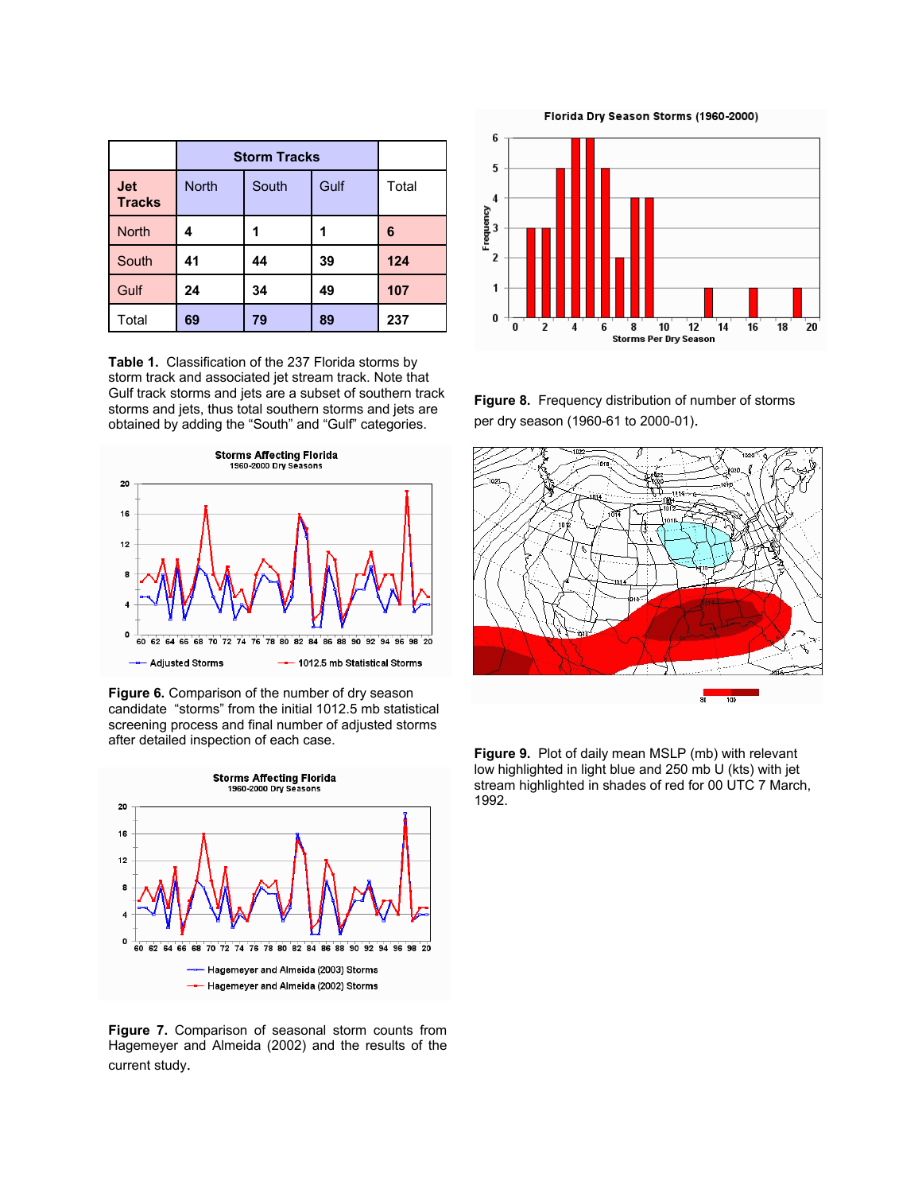|                             | <b>Storm Tracks</b> |       |      |       |
|-----------------------------|---------------------|-------|------|-------|
| <b>Jet</b><br><b>Tracks</b> | <b>North</b>        | South | Gulf | Total |
| <b>North</b>                | 4                   |       |      | 6     |
| South                       | 41                  | 44    | 39   | 124   |
| Gulf                        | 24                  | 34    | 49   | 107   |
| Total                       | 69                  | 79    | 89   | 237   |

**Table 1.** Classification of the 237 Florida storms by storm track and associated jet stream track. Note that Gulf track storms and jets are a subset of southern track storms and jets, thus total southern storms and jets are obtained by adding the "South" and "Gulf" categories.



**Figure 6.** Comparison of the number of dry season candidate "storms" from the initial 1012.5 mb statistical screening process and final number of adjusted storms after detailed inspection of each case.



**Figure 7.** Comparison of seasonal storm counts from Hagemeyer and Almeida (2002) and the results of the current study.

6 5  $\overline{\mathbf{4}}$ Frequency  $\overline{2}$  $\mathbf{1}$ 0 0 8 10  $\mathbf{14}$ 16 ้18  $20^{\circ}$ 6 12 2 4 **Storms Per Dry Season** 

**Figure 8.** Frequency distribution of number of storms per dry season (1960-61 to 2000-01).



**Figure 9.** Plot of daily mean MSLP (mb) with relevant low highlighted in light blue and 250 mb U (kts) with jet stream highlighted in shades of red for 00 UTC 7 March, 1992.

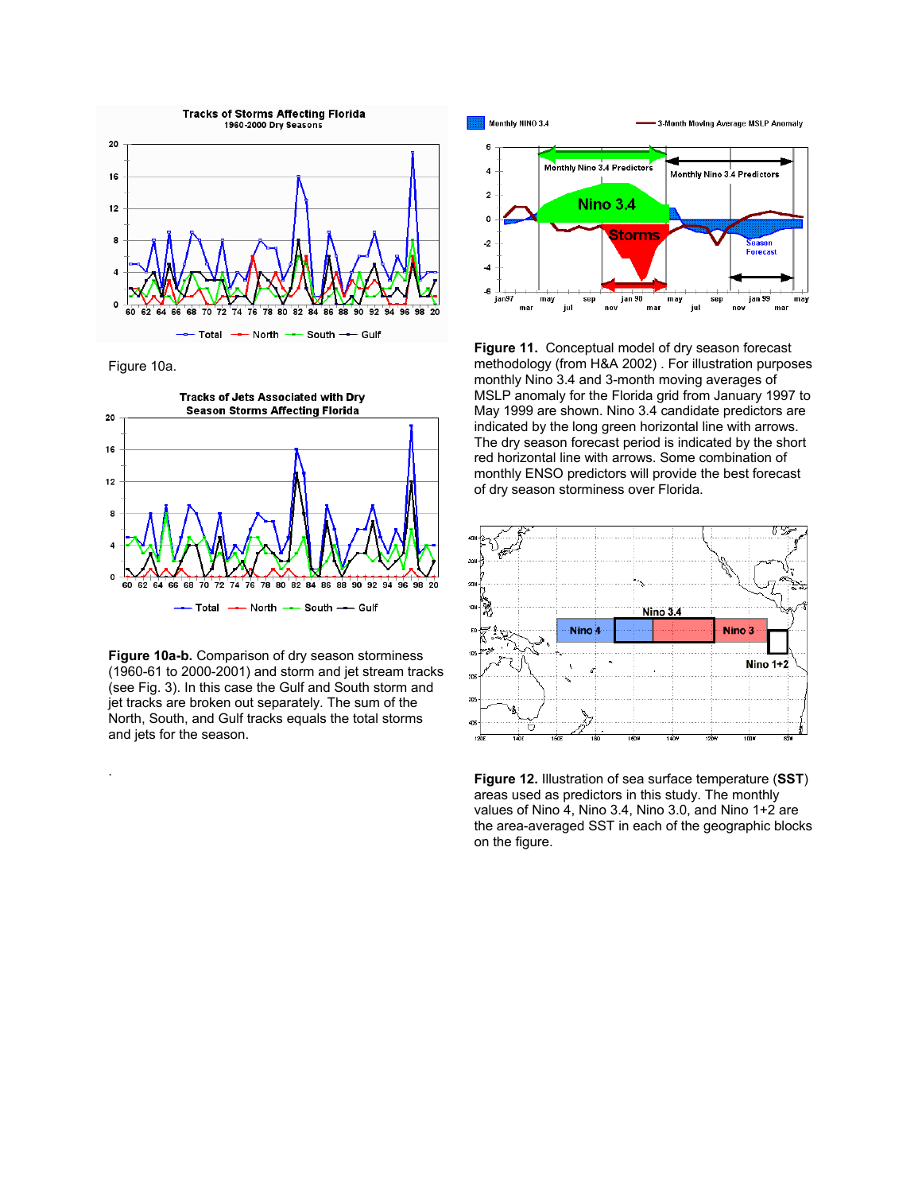

Figure 10a.

.



**Figure 10a-b.** Comparison of dry season storminess (1960-61 to 2000-2001) and storm and jet stream tracks (see Fig. 3). In this case the Gulf and South storm and jet tracks are broken out separately. The sum of the North, South, and Gulf tracks equals the total storms and jets for the season.



**Figure 11.** Conceptual model of dry season forecast methodology (from H&A 2002) . For illustration purposes monthly Nino 3.4 and 3-month moving averages of MSLP anomaly for the Florida grid from January 1997 to May 1999 are shown. Nino 3.4 candidate predictors are indicated by the long green horizontal line with arrows. The dry season forecast period is indicated by the short red horizontal line with arrows. Some combination of monthly ENSO predictors will provide the best forecast of dry season storminess over Florida.



**Figure 12.** Illustration of sea surface temperature (**SST**) areas used as predictors in this study. The monthly values of Nino 4, Nino 3.4, Nino 3.0, and Nino 1+2 are the area-averaged SST in each of the geographic blocks on the figure.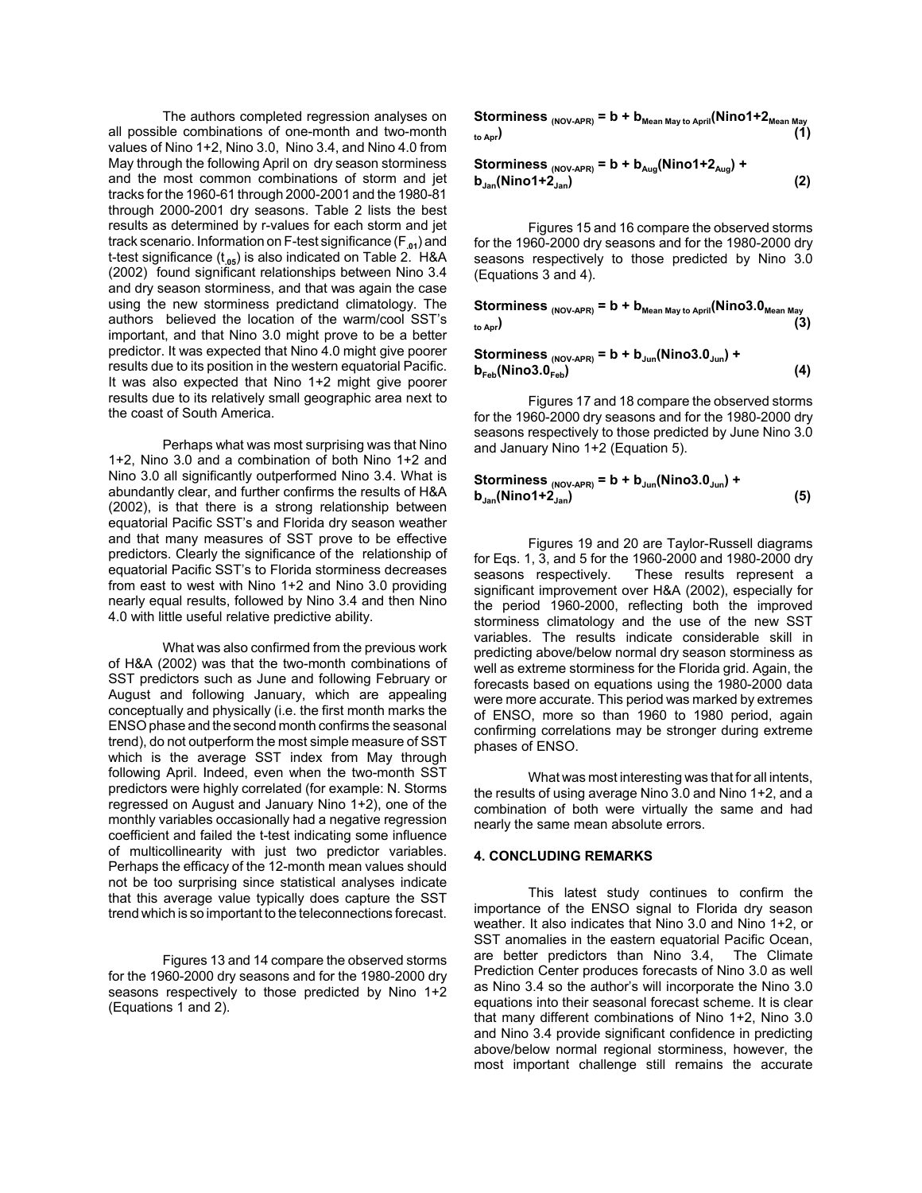The authors completed regression analyses on all possible combinations of one-month and two-month values of Nino 1+2, Nino 3.0, Nino 3.4, and Nino 4.0 from May through the following April on dry season storminess and the most common combinations of storm and jet tracks for the 1960-61 through 2000-2001 and the 1980-81 through 2000-2001 dry seasons. Table 2 lists the best results as determined by r-values for each storm and jet track scenario. Information on F-test significance (F**.01**) and t-test significance (t**.05**) is also indicated on Table 2. H&A (2002) found significant relationships between Nino 3.4 and dry season storminess, and that was again the case using the new storminess predictand climatology. The authors believed the location of the warm/cool SST's important, and that Nino 3.0 might prove to be a better predictor. It was expected that Nino 4.0 might give poorer results due to its position in the western equatorial Pacific. It was also expected that Nino 1+2 might give poorer results due to its relatively small geographic area next to the coast of South America.

Perhaps what was most surprising was that Nino 1+2, Nino 3.0 and a combination of both Nino 1+2 and Nino 3.0 all significantly outperformed Nino 3.4. What is abundantly clear, and further confirms the results of H&A (2002), is that there is a strong relationship between equatorial Pacific SST's and Florida dry season weather and that many measures of SST prove to be effective predictors. Clearly the significance of the relationship of equatorial Pacific SST's to Florida storminess decreases from east to west with Nino 1+2 and Nino 3.0 providing nearly equal results, followed by Nino 3.4 and then Nino 4.0 with little useful relative predictive ability.

What was also confirmed from the previous work of H&A (2002) was that the two-month combinations of SST predictors such as June and following February or August and following January, which are appealing conceptually and physically (i.e. the first month marks the ENSO phase and the second month confirms the seasonal trend), do not outperform the most simple measure of SST which is the average SST index from May through following April. Indeed, even when the two-month SST predictors were highly correlated (for example: N. Storms regressed on August and January Nino 1+2), one of the monthly variables occasionally had a negative regression coefficient and failed the t-test indicating some influence of multicollinearity with just two predictor variables. Perhaps the efficacy of the 12-month mean values should not be too surprising since statistical analyses indicate that this average value typically does capture the SST trend which is so important to the teleconnections forecast.

Figures 13 and 14 compare the observed storms for the 1960-2000 dry seasons and for the 1980-2000 dry seasons respectively to those predicted by Nino 1+2 (Equations 1 and 2).

**Storminess**  $_{(NOV-APR)} = b + b_{Mean\ May\ to\ April}(Nino1+2_{Mean\ May}$ **to Apr) (1)**

**Storminess (NOV-APR) = b + bAug(Nino1+2Aug) + bJan(Nino1+2Jan) (2)**

Figures 15 and 16 compare the observed storms for the 1960-2000 dry seasons and for the 1980-2000 dry seasons respectively to those predicted by Nino 3.0 (Equations 3 and 4).

Storminess <sub>(NOV-APR)</sub> = b + b<sub>Mean May to April</sub>(Nino3.0<sub>Mean May</sub> **to Apr) (3)**

**Storminess (NOV-APR) = b + bJun(Nino3.0Jun) +**  $b_{\text{Feb}}(\text{Nino3.0}_{\text{Feb}})$  (4)

Figures 17 and 18 compare the observed storms for the 1960-2000 dry seasons and for the 1980-2000 dry seasons respectively to those predicted by June Nino 3.0 and January Nino 1+2 (Equation 5).

Storminess 
$$
_{(NOV-APR)} = b + b_{\text{Jun}}(Nino3.0_{\text{Jun}}) + b_{\text{Jan}}(Nino1 + 2_{\text{Jan}})
$$

\n(5)

Figures 19 and 20 are Taylor-Russell diagrams for Eqs. 1, 3, and 5 for the 1960-2000 and 1980-2000 dry seasons respectively. These results represent a significant improvement over H&A (2002), especially for the period 1960-2000, reflecting both the improved storminess climatology and the use of the new SST variables. The results indicate considerable skill in predicting above/below normal dry season storminess as well as extreme storminess for the Florida grid. Again, the forecasts based on equations using the 1980-2000 data were more accurate. This period was marked by extremes of ENSO, more so than 1960 to 1980 period, again confirming correlations may be stronger during extreme phases of ENSO.

What was most interesting was that for all intents, the results of using average Nino 3.0 and Nino 1+2, and a combination of both were virtually the same and had nearly the same mean absolute errors.

#### **4. CONCLUDING REMARKS**

This latest study continues to confirm the importance of the ENSO signal to Florida dry season weather. It also indicates that Nino 3.0 and Nino 1+2, or SST anomalies in the eastern equatorial Pacific Ocean, are better predictors than Nino 3.4, The Climate Prediction Center produces forecasts of Nino 3.0 as well as Nino 3.4 so the author's will incorporate the Nino 3.0 equations into their seasonal forecast scheme. It is clear that many different combinations of Nino 1+2, Nino 3.0 and Nino 3.4 provide significant confidence in predicting above/below normal regional storminess, however, the most important challenge still remains the accurate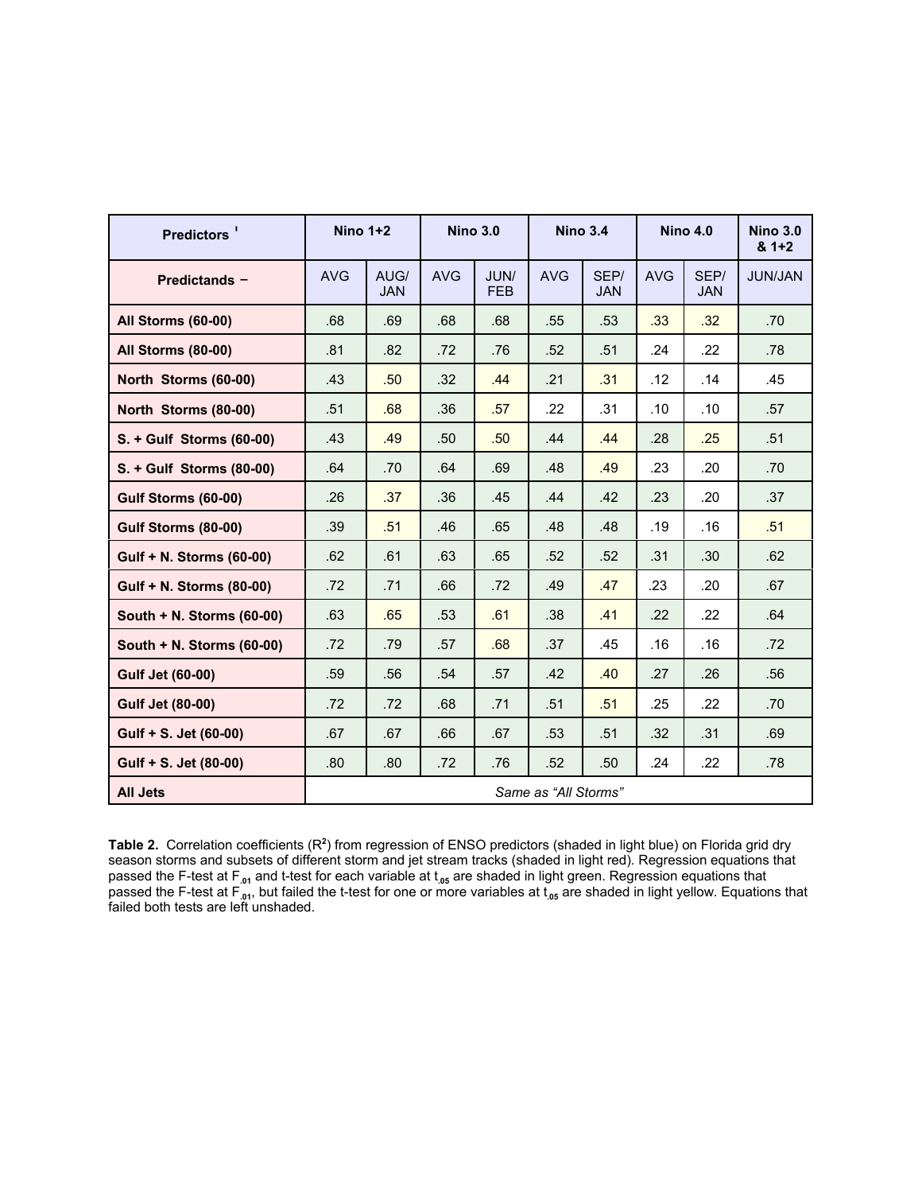| Predictors <sup>'</sup>     | Nino $1+2$           |                    | <b>Nino 3.0</b> |                    | <b>Nino 3.4</b> |                    | <b>Nino 4.0</b> |                    | <b>Nino 3.0</b><br>$81+2$ |  |
|-----------------------------|----------------------|--------------------|-----------------|--------------------|-----------------|--------------------|-----------------|--------------------|---------------------------|--|
| Predictands -               | <b>AVG</b>           | AUG/<br><b>JAN</b> | <b>AVG</b>      | JUN/<br><b>FEB</b> | <b>AVG</b>      | SEP/<br><b>JAN</b> | <b>AVG</b>      | SEP/<br><b>JAN</b> | <b>JUN/JAN</b>            |  |
| All Storms (60-00)          | .68                  | .69                | .68             | .68                | .55             | .53                | .33             | .32                | .70                       |  |
| All Storms (80-00)          | .81                  | .82                | .72             | .76                | .52             | .51                | .24             | .22                | .78                       |  |
| North Storms (60-00)        | .43                  | .50                | .32             | .44                | .21             | .31                | .12             | .14                | .45                       |  |
| North Storms (80-00)        | .51                  | .68                | .36             | .57                | .22             | .31                | .10             | .10                | .57                       |  |
| S. + Gulf Storms (60-00)    | .43                  | .49                | .50             | .50                | .44             | .44                | .28             | .25                | .51                       |  |
| S. + Gulf Storms (80-00)    | .64                  | .70                | .64             | .69                | .48             | .49                | .23             | .20                | .70                       |  |
| Gulf Storms (60-00)         | .26                  | .37                | .36             | .45                | .44             | .42                | .23             | .20                | .37                       |  |
| Gulf Storms (80-00)         | .39                  | .51                | .46             | .65                | .48             | .48                | .19             | .16                | .51                       |  |
| Gulf + N. Storms (60-00)    | .62                  | .61                | .63             | .65                | .52             | .52                | .31             | .30 <sub>0</sub>   | .62                       |  |
| Gulf + N. Storms (80-00)    | .72                  | .71                | .66             | .72                | .49             | .47                | .23             | .20                | .67                       |  |
| South $+$ N. Storms (60-00) | .63                  | .65                | .53             | .61                | .38             | .41                | .22             | .22                | .64                       |  |
| South $+$ N. Storms (60-00) | .72                  | .79                | .57             | .68                | .37             | .45                | .16             | .16                | .72                       |  |
| <b>Gulf Jet (60-00)</b>     | .59                  | .56                | .54             | .57                | .42             | .40                | .27             | .26                | .56                       |  |
| <b>Gulf Jet (80-00)</b>     | .72                  | .72                | .68             | .71                | .51             | .51                | .25             | .22                | .70                       |  |
| Gulf + S. Jet (60-00)       | .67                  | .67                | .66             | .67                | .53             | .51                | .32             | .31                | .69                       |  |
| Gulf + S. Jet (80-00)       | .80                  | .80                | .72             | .76                | .52             | .50 <sub>1</sub>   | .24             | .22                | .78                       |  |
| <b>All Jets</b>             | Same as "All Storms" |                    |                 |                    |                 |                    |                 |                    |                           |  |

Table 2. Correlation coefficients (R<sup>2</sup>) from regression of ENSO predictors (shaded in light blue) on Florida grid dry season storms and subsets of different storm and jet stream tracks (shaded in light red). Regression equations that passed the F-test at F**.01** and t-test for each variable at t**.05** are shaded in light green. Regression equations that passed the F-test at F**.01**, but failed the t-test for one or more variables at t**.05** are shaded in light yellow. Equations that failed both tests are left unshaded.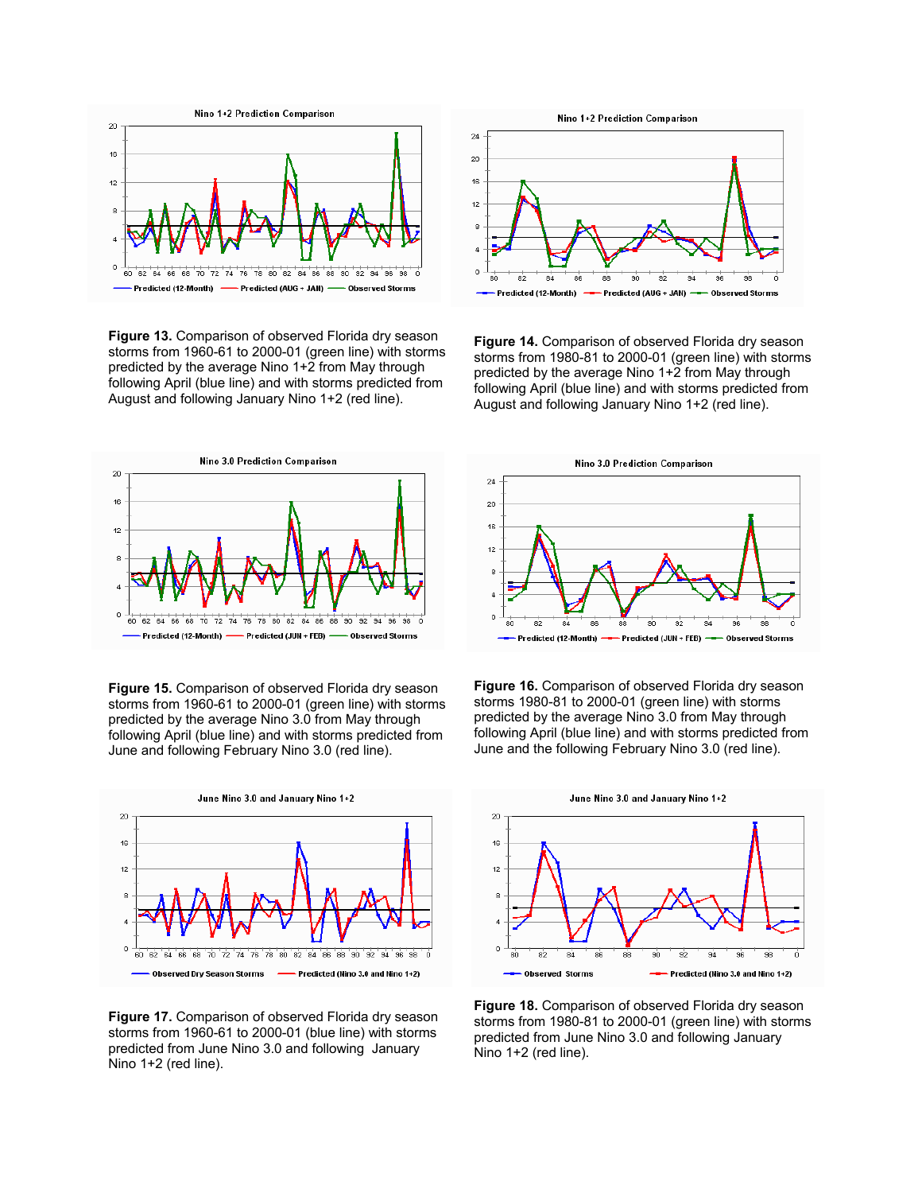

**Figure 13.** Comparison of observed Florida dry season storms from 1960-61 to 2000-01 (green line) with storms predicted by the average Nino 1+2 from May through following April (blue line) and with storms predicted from August and following January Nino 1+2 (red line).



**Figure 15.** Comparison of observed Florida dry season storms from 1960-61 to 2000-01 (green line) with storms predicted by the average Nino 3.0 from May through following April (blue line) and with storms predicted from June and following February Nino 3.0 (red line).



**Figure 17.** Comparison of observed Florida dry season storms from 1960-61 to 2000-01 (blue line) with storms predicted from June Nino 3.0 and following January Nino 1+2 (red line).



**Figure 14.** Comparison of observed Florida dry season storms from 1980-81 to 2000-01 (green line) with storms predicted by the average Nino 1+2 from May through following April (blue line) and with storms predicted from August and following January Nino 1+2 (red line).



**Figure 16.** Comparison of observed Florida dry season storms 1980-81 to 2000-01 (green line) with storms predicted by the average Nino 3.0 from May through following April (blue line) and with storms predicted from June and the following February Nino 3.0 (red line).



**Figure 18.** Comparison of observed Florida dry season storms from 1980-81 to 2000-01 (green line) with storms predicted from June Nino 3.0 and following January Nino 1+2 (red line).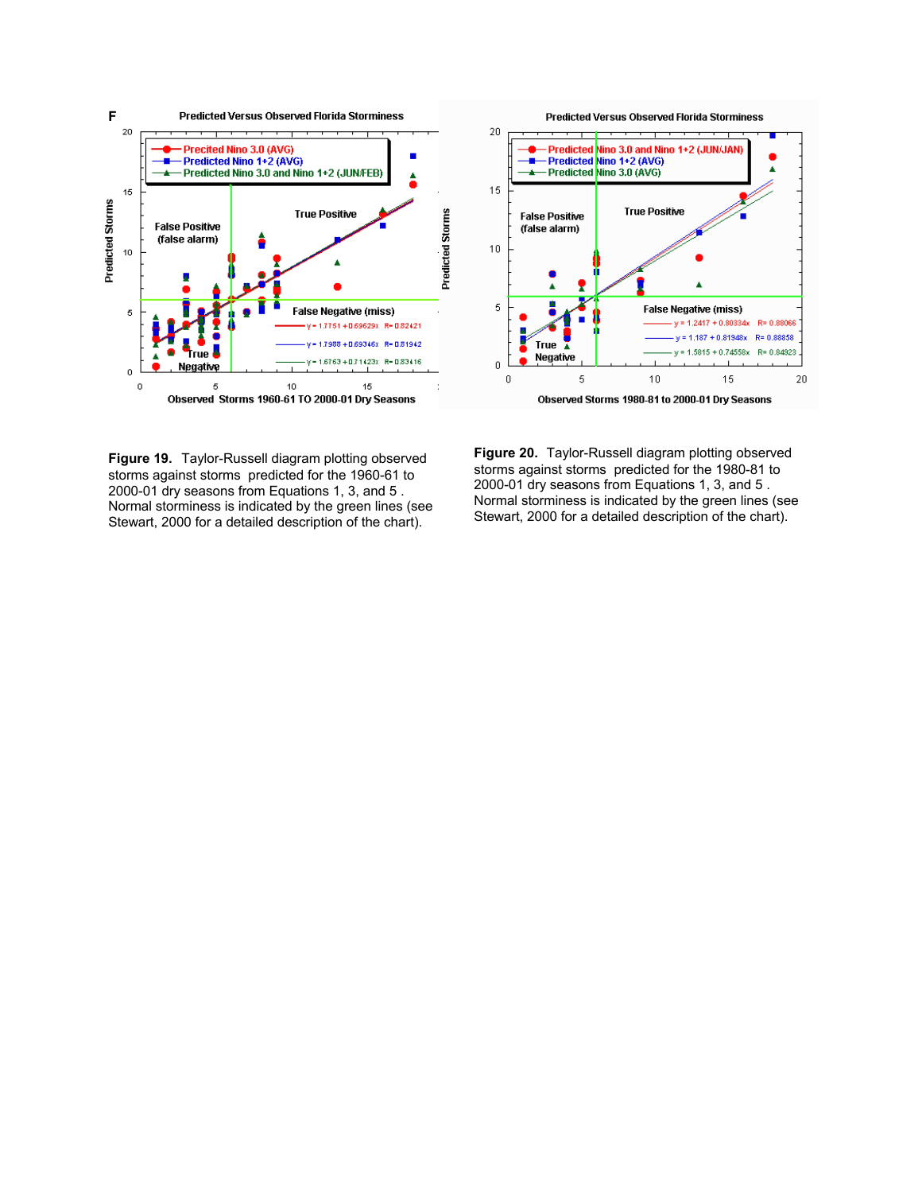



**Figure 19.** Taylor-Russell diagram plotting observed storms against storms predicted for the 1960-61 to 2000-01 dry seasons from Equations 1, 3, and 5 . Normal storminess is indicated by the green lines (see Stewart, 2000 for a detailed description of the chart).

**Figure 20.** Taylor-Russell diagram plotting observed storms against storms predicted for the 1980-81 to 2000-01 dry seasons from Equations 1, 3, and 5 . Normal storminess is indicated by the green lines (see Stewart, 2000 for a detailed description of the chart).